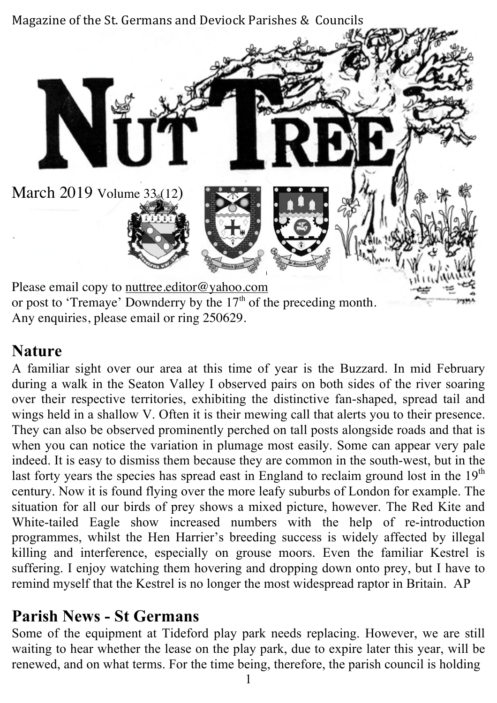

Any enquiries, please email or ring 250629.

#### **Nature**

A familiar sight over our area at this time of year is the Buzzard. In mid February during a walk in the Seaton Valley I observed pairs on both sides of the river soaring over their respective territories, exhibiting the distinctive fan-shaped, spread tail and wings held in a shallow V. Often it is their mewing call that alerts you to their presence. They can also be observed prominently perched on tall posts alongside roads and that is when you can notice the variation in plumage most easily. Some can appear very pale indeed. It is easy to dismiss them because they are common in the south-west, but in the last forty years the species has spread east in England to reclaim ground lost in the  $19<sup>th</sup>$ century. Now it is found flying over the more leafy suburbs of London for example. The situation for all our birds of prey shows a mixed picture, however. The Red Kite and White-tailed Eagle show increased numbers with the help of re-introduction programmes, whilst the Hen Harrier's breeding success is widely affected by illegal killing and interference, especially on grouse moors. Even the familiar Kestrel is suffering. I enjoy watching them hovering and dropping down onto prey, but I have to remind myself that the Kestrel is no longer the most widespread raptor in Britain. AP

#### **Parish News - St Germans**

Some of the equipment at Tideford play park needs replacing. However, we are still waiting to hear whether the lease on the play park, due to expire later this year, will be renewed, and on what terms. For the time being, therefore, the parish council is holding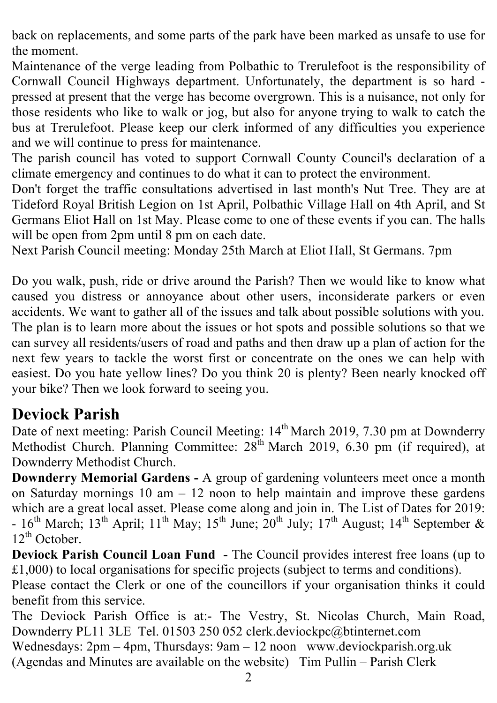back on replacements, and some parts of the park have been marked as unsafe to use for the moment.

Maintenance of the verge leading from Polbathic to Trerulefoot is the responsibility of Cornwall Council Highways department. Unfortunately, the department is so hard pressed at present that the verge has become overgrown. This is a nuisance, not only for those residents who like to walk or jog, but also for anyone trying to walk to catch the bus at Trerulefoot. Please keep our clerk informed of any difficulties you experience and we will continue to press for maintenance.

The parish council has voted to support Cornwall County Council's declaration of a climate emergency and continues to do what it can to protect the environment.

Don't forget the traffic consultations advertised in last month's Nut Tree. They are at Tideford Royal British Legion on 1st April, Polbathic Village Hall on 4th April, and St Germans Eliot Hall on 1st May. Please come to one of these events if you can. The halls will be open from 2pm until 8 pm on each date.

Next Parish Council meeting: Monday 25th March at Eliot Hall, St Germans. 7pm

Do you walk, push, ride or drive around the Parish? Then we would like to know what caused you distress or annoyance about other users, inconsiderate parkers or even accidents. We want to gather all of the issues and talk about possible solutions with you. The plan is to learn more about the issues or hot spots and possible solutions so that we can survey all residents/users of road and paths and then draw up a plan of action for the next few years to tackle the worst first or concentrate on the ones we can help with easiest. Do you hate yellow lines? Do you think 20 is plenty? Been nearly knocked off your bike? Then we look forward to seeing you.

#### **Deviock Parish**

Date of next meeting: Parish Council Meeting: 14<sup>th</sup> March 2019, 7.30 pm at Downderry Methodist Church. Planning Committee:  $28^{th}$  March 2019, 6.30 pm (if required), at Downderry Methodist Church.

**Downderry Memorial Gardens -** A group of gardening volunteers meet once a month on Saturday mornings  $10 \text{ am} - 12 \text{ noon}$  to help maintain and improve these gardens which are a great local asset. Please come along and join in. The List of Dates for 2019:  $-16$ <sup>th</sup> March;  $13$ <sup>th</sup> April;  $11$ <sup>th</sup> May;  $15$ <sup>th</sup> June;  $20$ <sup>th</sup> July;  $17$ <sup>th</sup> August;  $14$ <sup>th</sup> September &  $12^{th}$  October.

**Deviock Parish Council Loan Fund -** The Council provides interest free loans (up to £1,000) to local organisations for specific projects (subject to terms and conditions).

Please contact the Clerk or one of the councillors if your organisation thinks it could benefit from this service.

The Deviock Parish Office is at:- The Vestry, St. Nicolas Church, Main Road, Downderry PL11 3LE Tel. 01503 250 052 clerk.deviockpc@btinternet.com Wednesdays: 2pm – 4pm, Thursdays: 9am – 12 noon www.deviockparish.org.uk (Agendas and Minutes are available on the website) Tim Pullin – Parish Clerk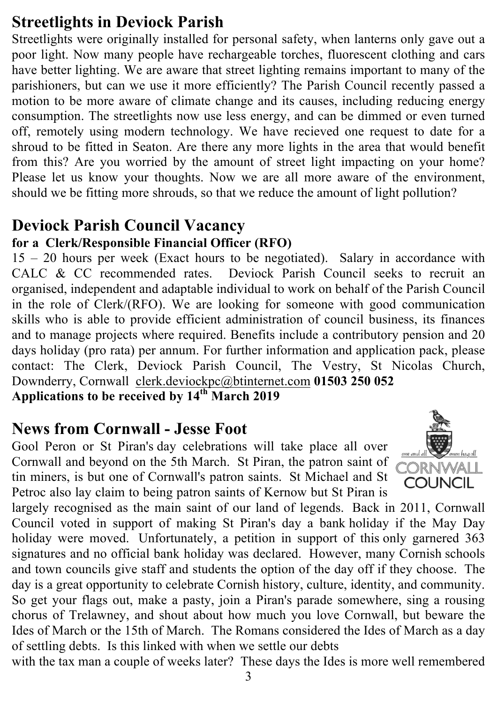## **Streetlights in Deviock Parish**

Streetlights were originally installed for personal safety, when lanterns only gave out a poor light. Now many people have rechargeable torches, fluorescent clothing and cars have better lighting. We are aware that street lighting remains important to many of the parishioners, but can we use it more efficiently? The Parish Council recently passed a motion to be more aware of climate change and its causes, including reducing energy consumption. The streetlights now use less energy, and can be dimmed or even turned off, remotely using modern technology. We have recieved one request to date for a shroud to be fitted in Seaton. Are there any more lights in the area that would benefit from this? Are you worried by the amount of street light impacting on your home? Please let us know your thoughts. Now we are all more aware of the environment, should we be fitting more shrouds, so that we reduce the amount of light pollution?

## **Deviock Parish Council Vacancy**

#### **for a Clerk/Responsible Financial Officer (RFO)**

15 – 20 hours per week (Exact hours to be negotiated). Salary in accordance with CALC & CC recommended rates. Deviock Parish Council seeks to recruit an organised, independent and adaptable individual to work on behalf of the Parish Council in the role of Clerk/(RFO). We are looking for someone with good communication skills who is able to provide efficient administration of council business, its finances and to manage projects where required. Benefits include a contributory pension and 20 days holiday (pro rata) per annum. For further information and application pack, please contact: The Clerk, Deviock Parish Council, The Vestry, St Nicolas Church, Downderry, Cornwall clerk.deviockpc@btinternet.com **01503 250 052 Applications to be received by 14th March 2019**

#### **News from Cornwall - Jesse Foot**

Gool Peron or St Piran's day celebrations will take place all over Cornwall and beyond on the 5th March. St Piran, the patron saint of tin miners, is but one of Cornwall's patron saints. St Michael and St Petroc also lay claim to being patron saints of Kernow but St Piran is



largely recognised as the main saint of our land of legends. Back in 2011, Cornwall Council voted in support of making St Piran's day a bank holiday if the May Day holiday were moved. Unfortunately, a petition in support of this only garnered 363 signatures and no official bank holiday was declared. However, many Cornish schools and town councils give staff and students the option of the day off if they choose. The day is a great opportunity to celebrate Cornish history, culture, identity, and community. So get your flags out, make a pasty, join a Piran's parade somewhere, sing a rousing chorus of Trelawney, and shout about how much you love Cornwall, but beware the Ides of March or the 15th of March. The Romans considered the Ides of March as a day of settling debts. Is this linked with when we settle our debts

with the tax man a couple of weeks later? These days the Ides is more well remembered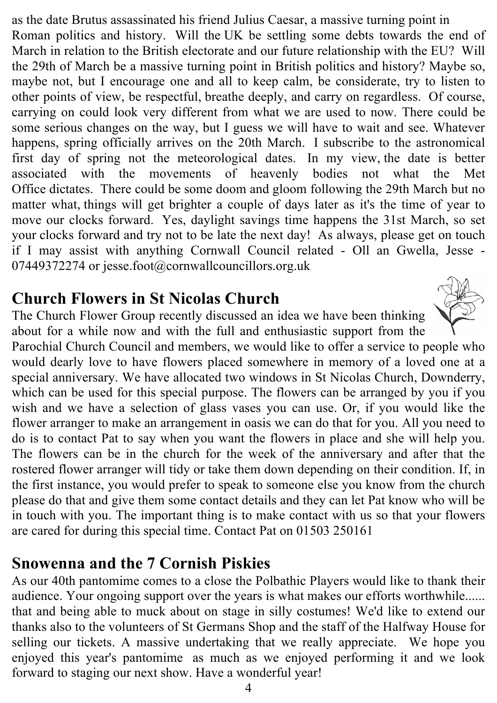as the date Brutus assassinated his friend Julius Caesar, a massive turning point in Roman politics and history. Will the UK be settling some debts towards the end of March in relation to the British electorate and our future relationship with the EU? Will the 29th of March be a massive turning point in British politics and history? Maybe so, maybe not, but I encourage one and all to keep calm, be considerate, try to listen to other points of view, be respectful, breathe deeply, and carry on regardless. Of course, carrying on could look very different from what we are used to now. There could be some serious changes on the way, but I guess we will have to wait and see. Whatever happens, spring officially arrives on the 20th March. I subscribe to the astronomical first day of spring not the meteorological dates. In my view, the date is better associated with the movements of heavenly bodies not what the Met Office dictates. There could be some doom and gloom following the 29th March but no matter what, things will get brighter a couple of days later as it's the time of year to move our clocks forward. Yes, daylight savings time happens the 31st March, so set your clocks forward and try not to be late the next day! As always, please get on touch if I may assist with anything Cornwall Council related - Oll an Gwella, Jesse - 07449372274 or jesse.foot@cornwallcouncillors.org.uk

## **Church Flowers in St Nicolas Church**

The Church Flower Group recently discussed an idea we have been thinking about for a while now and with the full and enthusiastic support from the

Parochial Church Council and members, we would like to offer a service to people who would dearly love to have flowers placed somewhere in memory of a loved one at a special anniversary. We have allocated two windows in St Nicolas Church, Downderry, which can be used for this special purpose. The flowers can be arranged by you if you wish and we have a selection of glass vases you can use. Or, if you would like the flower arranger to make an arrangement in oasis we can do that for you. All you need to do is to contact Pat to say when you want the flowers in place and she will help you. The flowers can be in the church for the week of the anniversary and after that the rostered flower arranger will tidy or take them down depending on their condition. If, in the first instance, you would prefer to speak to someone else you know from the church please do that and give them some contact details and they can let Pat know who will be in touch with you. The important thing is to make contact with us so that your flowers are cared for during this special time. Contact Pat on 01503 250161

# **Snowenna and the 7 Cornish Piskies**

As our 40th pantomime comes to a close the Polbathic Players would like to thank their audience. Your ongoing support over the years is what makes our efforts worthwhile...... that and being able to muck about on stage in silly costumes! We'd like to extend our thanks also to the volunteers of St Germans Shop and the staff of the Halfway House for selling our tickets. A massive undertaking that we really appreciate. We hope you enjoyed this year's pantomime as much as we enjoyed performing it and we look forward to staging our next show. Have a wonderful year!

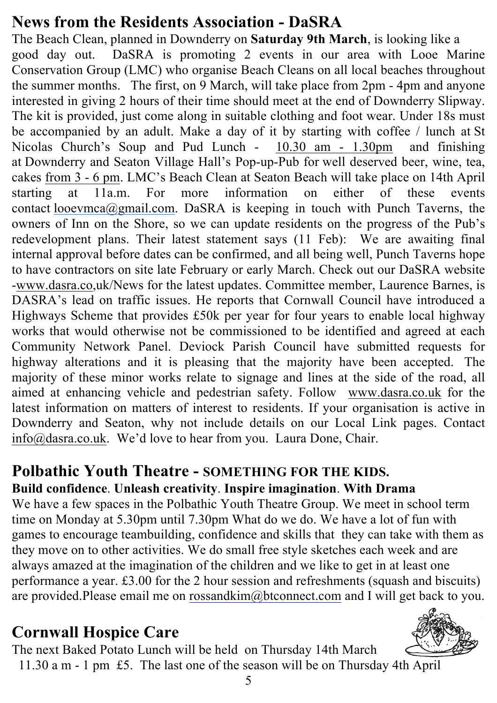# **News from the Residents Association - DaSRA**

The Beach Clean, planned in Downderry on **Saturday 9th March**, is looking like a good day out. DaSRA is promoting 2 events in our area with Looe Marine Conservation Group (LMC) who organise Beach Cleans on all local beaches throughout the summer months. The first, on 9 March, will take place from 2pm - 4pm and anyone interested in giving 2 hours of their time should meet at the end of Downderry Slipway. The kit is provided, just come along in suitable clothing and foot wear. Under 18s must be accompanied by an adult. Make a day of it by starting with coffee / lunch at St Nicolas Church's Soup and Pud Lunch - 10.30 am - 1.30pm and finishing at Downderry and Seaton Village Hall's Pop-up-Pub for well deserved beer, wine, tea, cakes from 3 - 6 pm. LMC's Beach Clean at Seaton Beach will take place on 14th April starting at 11a.m. For more information on either of these events contact looevmca@gmail.com. DaSRA is keeping in touch with Punch Taverns, the owners of Inn on the Shore, so we can update residents on the progress of the Pub's redevelopment plans. Their latest statement says (11 Feb): We are awaiting final internal approval before dates can be confirmed, and all being well, Punch Taverns hope to have contractors on site late February or early March. Check out our DaSRA website -www.dasra.co,uk/News for the latest updates. Committee member, Laurence Barnes, is DASRA's lead on traffic issues. He reports that Cornwall Council have introduced a Highways Scheme that provides £50k per year for four years to enable local highway works that would otherwise not be commissioned to be identified and agreed at each Community Network Panel. Deviock Parish Council have submitted requests for highway alterations and it is pleasing that the majority have been accepted. The majority of these minor works relate to signage and lines at the side of the road, all aimed at enhancing vehicle and pedestrian safety. Follow www.dasra.co.uk for the latest information on matters of interest to residents. If your organisation is active in Downderry and Seaton, why not include details on our Local Link pages. Contact info@dasra.co.uk. We'd love to hear from you. Laura Done, Chair.

# **Polbathic Youth Theatre - SOMETHING FOR THE KIDS.**

#### **Build confidence**. **Unleash creativity**. **Inspire imagination**. **With Drama**

We have a few spaces in the Polbathic Youth Theatre Group. We meet in school term time on Monday at 5.30pm until 7.30pm What do we do. We have a lot of fun with games to encourage teambuilding, confidence and skills that they can take with them as they move on to other activities. We do small free style sketches each week and are always amazed at the imagination of the children and we like to get in at least one performance a year. £3.00 for the 2 hour session and refreshments (squash and biscuits) are provided.Please email me on rossandkim@btconnect.com and I will get back to you.

# **Cornwall Hospice Care**

The next Baked Potato Lunch will be held on Thursday 14th March 11.30 a m - 1 pm £5. The last one of the season will be on Thursday 4th April.



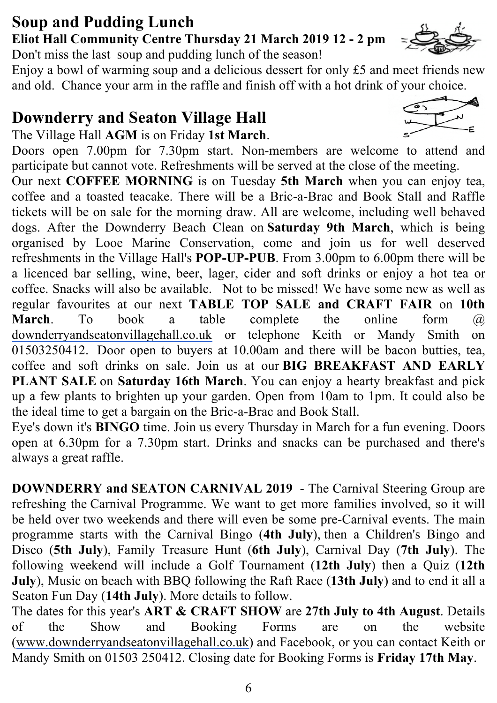#### **Soup and Pudding Lunch Eliot Hall Community Centre Thursday 21 March 2019 12 - 2 pm**

Don't miss the last soup and pudding lunch of the season!

Enjoy a bowl of warming soup and a delicious dessert for only £5 and meet friends new and old. Chance your arm in the raffle and finish off with a hot drink of your choice.

# **Downderry and Seaton Village Hall**

The Village Hall **AGM** is on Friday **1st March**.

Doors open 7.00pm for 7.30pm start. Non-members are welcome to attend and participate but cannot vote. Refreshments will be served at the close of the meeting.

Our next **COFFEE MORNING** is on Tuesday **5th March** when you can enjoy tea, coffee and a toasted teacake. There will be a Bric-a-Brac and Book Stall and Raffle tickets will be on sale for the morning draw. All are welcome, including well behaved dogs. After the Downderry Beach Clean on **Saturday 9th March**, which is being organised by Looe Marine Conservation, come and join us for well deserved refreshments in the Village Hall's **POP-UP-PUB**. From 3.00pm to 6.00pm there will be a licenced bar selling, wine, beer, lager, cider and soft drinks or enjoy a hot tea or coffee. Snacks will also be available. Not to be missed! We have some new as well as regular favourites at our next **TABLE TOP SALE and CRAFT FAIR** on **10th March**. To book a table complete the online form @ downderryandseatonvillagehall.co.uk or telephone Keith or Mandy Smith on 01503250412. Door open to buyers at 10.00am and there will be bacon butties, tea, coffee and soft drinks on sale. Join us at our **BIG BREAKFAST AND EARLY PLANT SALE** on **Saturday 16th March**. You can enjoy a hearty breakfast and pick up a few plants to brighten up your garden. Open from 10am to 1pm. It could also be the ideal time to get a bargain on the Bric-a-Brac and Book Stall.

Eye's down it's **BINGO** time. Join us every Thursday in March for a fun evening. Doors open at 6.30pm for a 7.30pm start. Drinks and snacks can be purchased and there's always a great raffle.

**DOWNDERRY and SEATON CARNIVAL 2019** - The Carnival Steering Group are refreshing the Carnival Programme. We want to get more families involved, so it will be held over two weekends and there will even be some pre-Carnival events. The main programme starts with the Carnival Bingo (**4th July**), then a Children's Bingo and Disco (**5th July**), Family Treasure Hunt (**6th July**), Carnival Day (**7th July**). The following weekend will include a Golf Tournament (**12th July**) then a Quiz (**12th July**), Music on beach with BBQ following the Raft Race (**13th July**) and to end it all a Seaton Fun Day (**14th July**). More details to follow.

The dates for this year's **ART & CRAFT SHOW** are **27th July to 4th August**. Details of the Show and Booking Forms are on the website (www.downderryandseatonvillagehall.co.uk) and Facebook, or you can contact Keith or Mandy Smith on 01503 250412. Closing date for Booking Forms is **Friday 17th May**.



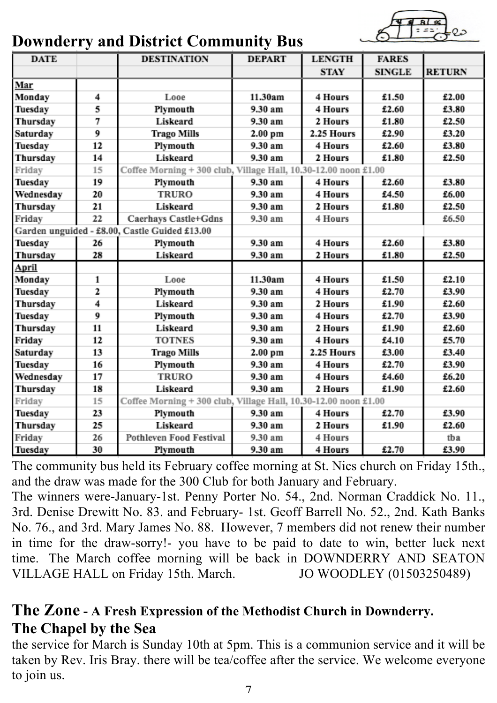

## **Downderry and District Community Bus**

| <b>DATE</b>                                   |    | <b>DESTINATION</b>                                              | <b>DEPART</b> | <b>LENGTH</b> | <b>FARES</b>  |               |
|-----------------------------------------------|----|-----------------------------------------------------------------|---------------|---------------|---------------|---------------|
|                                               |    |                                                                 |               | <b>STAY</b>   | <b>SINGLE</b> | <b>RETURN</b> |
| Mar                                           |    |                                                                 |               |               |               |               |
| Monday                                        | 4  | Looe                                                            | 11.30am       | 4 Hours       | £1.50         | £2.00         |
| Tuesday                                       | 5  | Plymouth                                                        | 9.30 am       | 4 Hours       | £2.60         | £3.80         |
| Thursday                                      | 7  | Liskeard                                                        | 9.30 am       | 2 Hours       | £1.80         | £2.50         |
| Saturday                                      | 9  | <b>Trago Mills</b>                                              | 2.00 pm       | 2.25 Hours    | £2.90         | £3.20         |
| Tuesday                                       | 12 | Plymouth                                                        | 9.30 am       | 4 Hours       | £2.60         | £3.80         |
| Thursday                                      | 14 | Liskeard                                                        | 9.30 am       | 2 Hours       | £1.80         | £2.50         |
| Friday                                        | 15 | Coffee Morning + 300 club, Village Hall, 10.30-12.00 noon £1.00 |               |               |               |               |
| Tuesday                                       | 19 | Plymouth                                                        | 9.30 am       | 4 Hours       | £2.60         | £3.80         |
| Wednesday                                     | 20 | <b>TRURO</b>                                                    | 9.30 am       | 4 Hours       | £4.50         | £6.00         |
| Thursday                                      | 21 | Liskeard                                                        | 9.30 am       | 2 Hours       | £1.80         | £2.50         |
| Friday                                        | 22 | Caerhays Castle+Gdns                                            | 9.30 am       | 4 Hours       |               | £6.50         |
| Garden unguided - £8.00, Castle Guided £13.00 |    |                                                                 |               |               |               |               |
| Tuesday                                       | 26 | Plymouth                                                        | 9.30 am       | 4 Hours       | £2.60         | £3.80         |
| Thursday                                      | 28 | Liskeard                                                        | 9.30 am       | 2 Hours       | £1.80         | £2.50         |
| April                                         |    |                                                                 |               |               |               |               |
| Monday                                        | 1  | Looe                                                            | 11.30am       | 4 Hours       | £1.50         | £2.10         |
| Tuesday                                       | 2  | Plymouth                                                        | 9.30 am       | 4 Hours       | £2.70         | £3.90         |
| Thursday                                      | 4  | Liskeard                                                        | 9.30 am       | 2 Hours       | £1.90         | £2.60         |
| Tuesday                                       | 9  | Plymouth                                                        | 9.30 am       | 4 Hours       | £2.70         | £3.90         |
| Thursday                                      | 11 | Liskeard                                                        | 9.30 am       | 2 Hours       | £1.90         | £2.60         |
| Friday                                        | 12 | <b>TOTNES</b>                                                   | 9.30 am       | 4 Hours       | £4.10         | £5.70         |
| Saturday                                      | 13 | <b>Trago Mills</b>                                              | 2.00 pm       | 2.25 Hours    | £3.00         | £3.40         |
| Tuesday                                       | 16 | Plymouth                                                        | 9.30 am       | 4 Hours       | £2.70         | £3.90         |
| Wednesday                                     | 17 | <b>TRURO</b>                                                    | 9.30 am       | 4 Hours       | £4.60         | £6.20         |
| Thursday                                      | 18 | Liskeard                                                        | 9.30 am       | 2 Hours       | £1.90         | £2.60         |
| Friday                                        | 15 | Coffee Morning + 300 club, Village Hall, 10.30-12.00 noon £1.00 |               |               |               |               |
| Tuesday                                       | 23 | Plymouth                                                        | 9.30 am       | 4 Hours       | £2.70         | £3.90         |
| Thursday                                      | 25 | Liskeard                                                        | 9.30 am       | 2 Hours       | £1.90         | £2.60         |
| Friday                                        | 26 | <b>Pothleven Food Festival</b>                                  | 9.30 am       | 4 Hours       |               | tba           |
| Tuesday                                       | 30 | Plymouth                                                        | 9.30 am       | 4 Hours       | £2.70         | £3.90         |

The community bus held its February coffee morning at St. Nics church on Friday 15th., and the draw was made for the 300 Club for both January and February.

The winners were-January-1st. Penny Porter No. 54., 2nd. Norman Craddick No. 11., 3rd. Denise Drewitt No. 83. and February- 1st. Geoff Barrell No. 52., 2nd. Kath Banks No. 76., and 3rd. Mary James No. 88. However, 7 members did not renew their number in time for the draw-sorry!- you have to be paid to date to win, better luck next time. The March coffee morning will be back in DOWNDERRY AND SEATON VILLAGE HALL on Friday 15th. March. JO WOODLEY (01503250489)

#### **The Zone - A Fresh Expression of the Methodist Church in Downderry. The Chapel by the Sea**

the service for March is Sunday 10th at 5pm. This is a communion service and it will be taken by Rev. Iris Bray. there will be tea/coffee after the service. We welcome everyone to join us.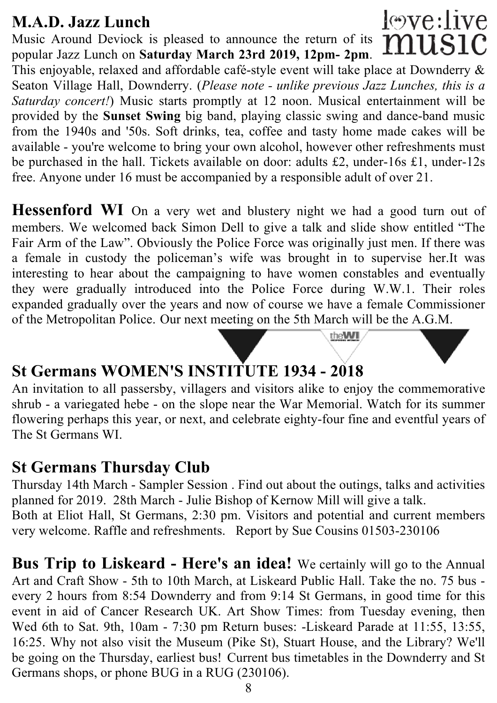#### **M.A.D. Jazz Lunch**

Music Around Deviock is pleased to announce the return of its music popular Jazz Lunch on **Saturday March 23rd 2019, 12pm- 2pm**. This enjoyable, relaxed and affordable café-style event will take place at Downderry & Seaton Village Hall, Downderry. (*Please note - unlike previous Jazz Lunches, this is a Saturday concert!*) Music starts promptly at 12 noon. Musical entertainment will be provided by the **Sunset Swing** big band, playing classic swing and dance-band music from the 1940s and '50s. Soft drinks, tea, coffee and tasty home made cakes will be available - you're welcome to bring your own alcohol, however other refreshments must be purchased in the hall. Tickets available on door: adults £2, under-16s £1, under-12s free. Anyone under 16 must be accompanied by a responsible adult of over 21.

love:live

Hessenford WI On a very wet and blustery night we had a good turn out of members. We welcomed back Simon Dell to give a talk and slide show entitled "The Fair Arm of the Law". Obviously the Police Force was originally just men. If there was a female in custody the policeman's wife was brought in to supervise her.It was interesting to hear about the campaigning to have women constables and eventually they were gradually introduced into the Police Force during W.W.1. Their roles expanded gradually over the years and now of course we have a female Commissioner of the Metropolitan Police. Our next meeting on the 5th March will be the A.G.M.

theWI

# **St Germans WOMEN'S INSTITUTE 1934 - 2018**

An invitation to all passersby, villagers and visitors alike to enjoy the commemorative shrub - a variegated hebe - on the slope near the War Memorial. Watch for its summer flowering perhaps this year, or next, and celebrate eighty-four fine and eventful years of The St Germans WI.

#### **St Germans Thursday Club**

Thursday 14th March - Sampler Session . Find out about the outings, talks and activities planned for 2019. 28th March - Julie Bishop of Kernow Mill will give a talk. Both at Eliot Hall, St Germans, 2:30 pm. Visitors and potential and current members very welcome. Raffle and refreshments. Report by Sue Cousins 01503-230106

**Bus Trip to Liskeard - Here's an idea!** We certainly will go to the Annual Art and Craft Show - 5th to 10th March, at Liskeard Public Hall. Take the no. 75 bus every 2 hours from 8:54 Downderry and from 9:14 St Germans, in good time for this event in aid of Cancer Research UK. Art Show Times: from Tuesday evening, then Wed 6th to Sat. 9th, 10am - 7:30 pm Return buses: -Liskeard Parade at 11:55, 13:55, 16:25. Why not also visit the Museum (Pike St), Stuart House, and the Library? We'll be going on the Thursday, earliest bus! Current bus timetables in the Downderry and St Germans shops, or phone BUG in a RUG (230106).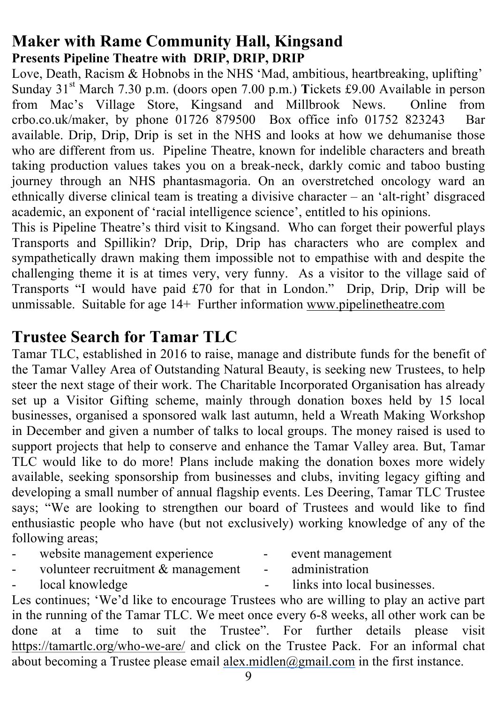#### **Maker with Rame Community Hall, Kingsand Presents Pipeline Theatre with DRIP, DRIP, DRIP**

Love, Death, Racism & Hobnobs in the NHS 'Mad, ambitious, heartbreaking, uplifting' Sunday 31<sup>st</sup> March 7.30 p.m. (doors open 7.00 p.m.) **Tickets £9.00** Available in person from Mac's Village Store, Kingsand and Millbrook News. Online from crbo.co.uk/maker, by phone 01726 879500 Box office info 01752 823243 Bar available. Drip, Drip, Drip is set in the NHS and looks at how we dehumanise those who are different from us. Pipeline Theatre, known for indelible characters and breath taking production values takes you on a break-neck, darkly comic and taboo busting journey through an NHS phantasmagoria. On an overstretched oncology ward an ethnically diverse clinical team is treating a divisive character – an 'alt-right' disgraced academic, an exponent of 'racial intelligence science', entitled to his opinions.

This is Pipeline Theatre's third visit to Kingsand. Who can forget their powerful plays Transports and Spillikin? Drip, Drip, Drip has characters who are complex and sympathetically drawn making them impossible not to empathise with and despite the challenging theme it is at times very, very funny. As a visitor to the village said of Transports "I would have paid £70 for that in London." Drip, Drip, Drip will be unmissable. Suitable for age 14+ Further information www.pipelinetheatre.com

## **Trustee Search for Tamar TLC**

Tamar TLC, established in 2016 to raise, manage and distribute funds for the benefit of the Tamar Valley Area of Outstanding Natural Beauty, is seeking new Trustees, to help steer the next stage of their work. The Charitable Incorporated Organisation has already set up a Visitor Gifting scheme, mainly through donation boxes held by 15 local businesses, organised a sponsored walk last autumn, held a Wreath Making Workshop in December and given a number of talks to local groups. The money raised is used to support projects that help to conserve and enhance the Tamar Valley area. But, Tamar TLC would like to do more! Plans include making the donation boxes more widely available, seeking sponsorship from businesses and clubs, inviting legacy gifting and developing a small number of annual flagship events. Les Deering, Tamar TLC Trustee says; "We are looking to strengthen our board of Trustees and would like to find enthusiastic people who have (but not exclusively) working knowledge of any of the following areas;

- website management experience event management<br>volunteer recruitment & management administration
- volunteer recruitment & management administration
- 

- local knowledge - links into local businesses.

Les continues; 'We'd like to encourage Trustees who are willing to play an active part in the running of the Tamar TLC. We meet once every 6-8 weeks, all other work can be done at a time to suit the Trustee". For further details please visit https://tamartlc.org/who-we-are/ and click on the Trustee Pack. For an informal chat about becoming a Trustee please email alex.midlen@gmail.com in the first instance.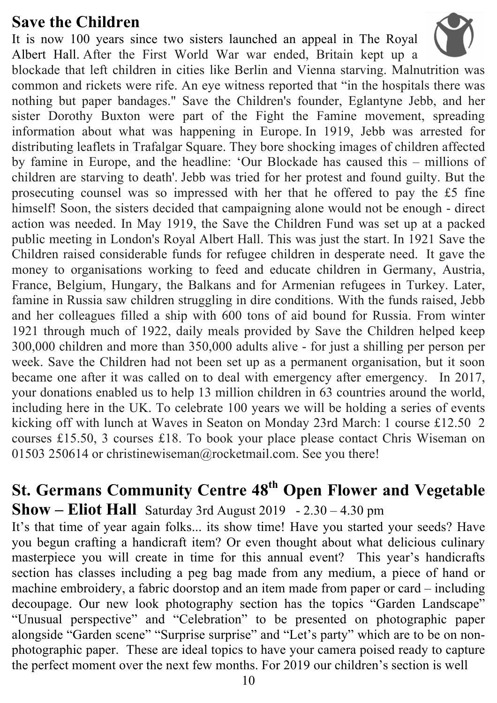#### **Save the Children**

It is now 100 years since two sisters launched an appeal in The Royal Albert Hall. After the First World War war ended, Britain kept up a blockade that left children in cities like Berlin and Vienna starving. Malnutrition was common and rickets were rife. An eye witness reported that "in the hospitals there was nothing but paper bandages." Save the Children's founder, Eglantyne Jebb, and her sister Dorothy Buxton were part of the Fight the Famine movement, spreading information about what was happening in Europe. In 1919, Jebb was arrested for distributing leaflets in Trafalgar Square. They bore shocking images of children affected by famine in Europe, and the headline: 'Our Blockade has caused this – millions of children are starving to death'. Jebb was tried for her protest and found guilty. But the prosecuting counsel was so impressed with her that he offered to pay the £5 fine himself! Soon, the sisters decided that campaigning alone would not be enough - direct action was needed. In May 1919, the Save the Children Fund was set up at a packed public meeting in London's Royal Albert Hall. This was just the start. In 1921 Save the Children raised considerable funds for refugee children in desperate need. It gave the money to organisations working to feed and educate children in Germany, Austria, France, Belgium, Hungary, the Balkans and for Armenian refugees in Turkey. Later, famine in Russia saw children struggling in dire conditions. With the funds raised, Jebb and her colleagues filled a ship with 600 tons of aid bound for Russia. From winter 1921 through much of 1922, daily meals provided by Save the Children helped keep 300,000 children and more than 350,000 adults alive - for just a shilling per person per week. Save the Children had not been set up as a permanent organisation, but it soon became one after it was called on to deal with emergency after emergency. In 2017, your donations enabled us to help 13 million children in 63 countries around the world, including here in the UK. To celebrate 100 years we will be holding a series of events kicking off with lunch at Waves in Seaton on Monday 23rd March: 1 course £12.50 2 courses £15.50, 3 courses £18. To book your place please contact Chris Wiseman on 01503 250614 or christinewiseman@rocketmail.com. See you there!

# **St. Germans Community Centre 48th Open Flower and Vegetable Show – Eliot Hall** Saturday 3rd August 2019 - 2.30 – 4.30 pm

It's that time of year again folks... its show time! Have you started your seeds? Have you begun crafting a handicraft item? Or even thought about what delicious culinary masterpiece you will create in time for this annual event? This year's handicrafts section has classes including a peg bag made from any medium, a piece of hand or machine embroidery, a fabric doorstop and an item made from paper or card – including decoupage. Our new look photography section has the topics "Garden Landscape" "Unusual perspective" and "Celebration" to be presented on photographic paper alongside "Garden scene" "Surprise surprise" and "Let's party" which are to be on nonphotographic paper. These are ideal topics to have your camera poised ready to capture the perfect moment over the next few months. For 2019 our children's section is well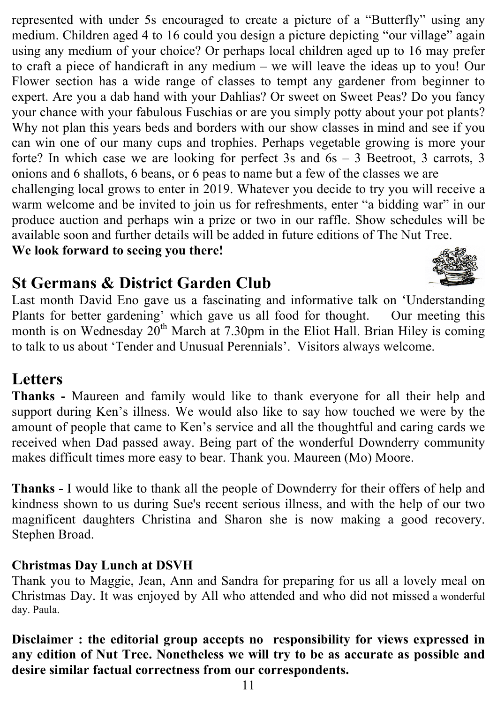represented with under 5s encouraged to create a picture of a "Butterfly" using any medium. Children aged 4 to 16 could you design a picture depicting "our village" again using any medium of your choice? Or perhaps local children aged up to 16 may prefer to craft a piece of handicraft in any medium – we will leave the ideas up to you! Our Flower section has a wide range of classes to tempt any gardener from beginner to expert. Are you a dab hand with your Dahlias? Or sweet on Sweet Peas? Do you fancy your chance with your fabulous Fuschias or are you simply potty about your pot plants? Why not plan this years beds and borders with our show classes in mind and see if you can win one of our many cups and trophies. Perhaps vegetable growing is more your forte? In which case we are looking for perfect 3s and 6s – 3 Beetroot, 3 carrots, 3 onions and 6 shallots, 6 beans, or 6 peas to name but a few of the classes we are

challenging local grows to enter in 2019. Whatever you decide to try you will receive a warm welcome and be invited to join us for refreshments, enter "a bidding war" in our produce auction and perhaps win a prize or two in our raffle. Show schedules will be available soon and further details will be added in future editions of The Nut Tree.

**We look forward to seeing you there!**

## **St Germans & District Garden Club**



Last month David Eno gave us a fascinating and informative talk on 'Understanding Plants for better gardening' which gave us all food for thought. Our meeting this month is on Wednesday  $20<sup>th</sup>$  March at 7.30pm in the Eliot Hall. Brian Hiley is coming to talk to us about 'Tender and Unusual Perennials'. Visitors always welcome.

## **Letters**

**Thanks -** Maureen and family would like to thank everyone for all their help and support during Ken's illness. We would also like to say how touched we were by the amount of people that came to Ken's service and all the thoughtful and caring cards we received when Dad passed away. Being part of the wonderful Downderry community makes difficult times more easy to bear. Thank you. Maureen (Mo) Moore.

**Thanks -** I would like to thank all the people of Downderry for their offers of help and kindness shown to us during Sue's recent serious illness, and with the help of our two magnificent daughters Christina and Sharon she is now making a good recovery. Stephen Broad.

#### **Christmas Day Lunch at DSVH**

Thank you to Maggie, Jean, Ann and Sandra for preparing for us all a lovely meal on Christmas Day. It was enjoyed by All who attended and who did not missed a wonderful day. Paula.

**Disclaimer : the editorial group accepts no responsibility for views expressed in any edition of Nut Tree. Nonetheless we will try to be as accurate as possible and desire similar factual correctness from our correspondents.**